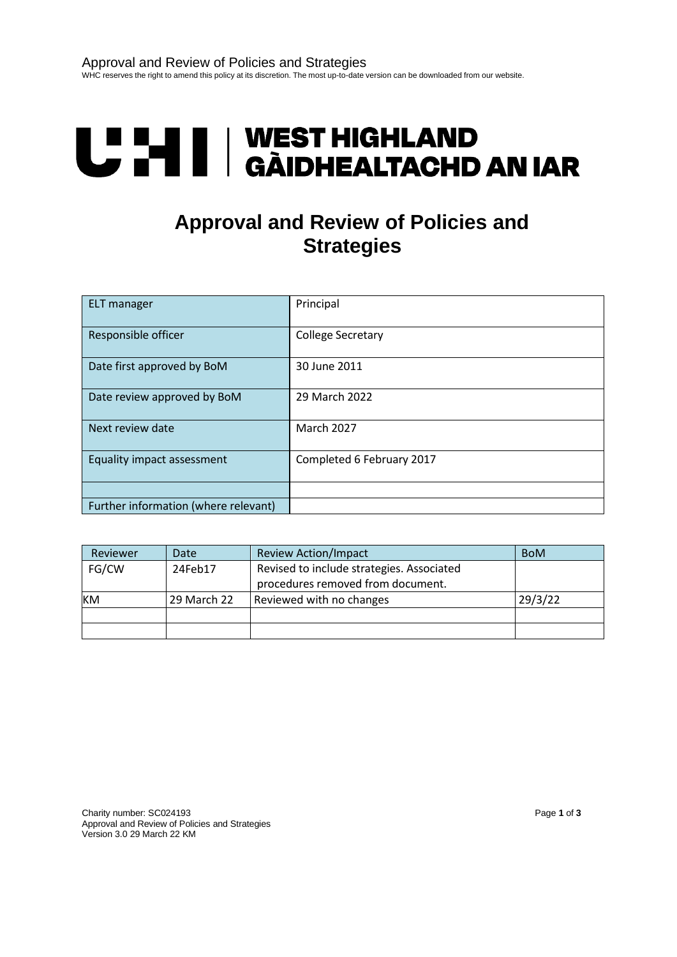# U LI | WEST HIGHLAND<br>U LI | GÀIDHEALTACHD AN IAR

## **Approval and Review of Policies and Strategies**

| <b>ELT</b> manager                   | Principal                 |
|--------------------------------------|---------------------------|
| Responsible officer                  | <b>College Secretary</b>  |
| Date first approved by BoM           | 30 June 2011              |
| Date review approved by BoM          | 29 March 2022             |
| Next review date                     | <b>March 2027</b>         |
| Equality impact assessment           | Completed 6 February 2017 |
|                                      |                           |
| Further information (where relevant) |                           |

| Reviewer | Date        | <b>Review Action/Impact</b>                                                    | <b>BoM</b> |
|----------|-------------|--------------------------------------------------------------------------------|------------|
| FG/CW    | 24Feb17     | Revised to include strategies. Associated<br>procedures removed from document. |            |
| KM       | 29 March 22 | Reviewed with no changes                                                       | 29/3/22    |
|          |             |                                                                                |            |
|          |             |                                                                                |            |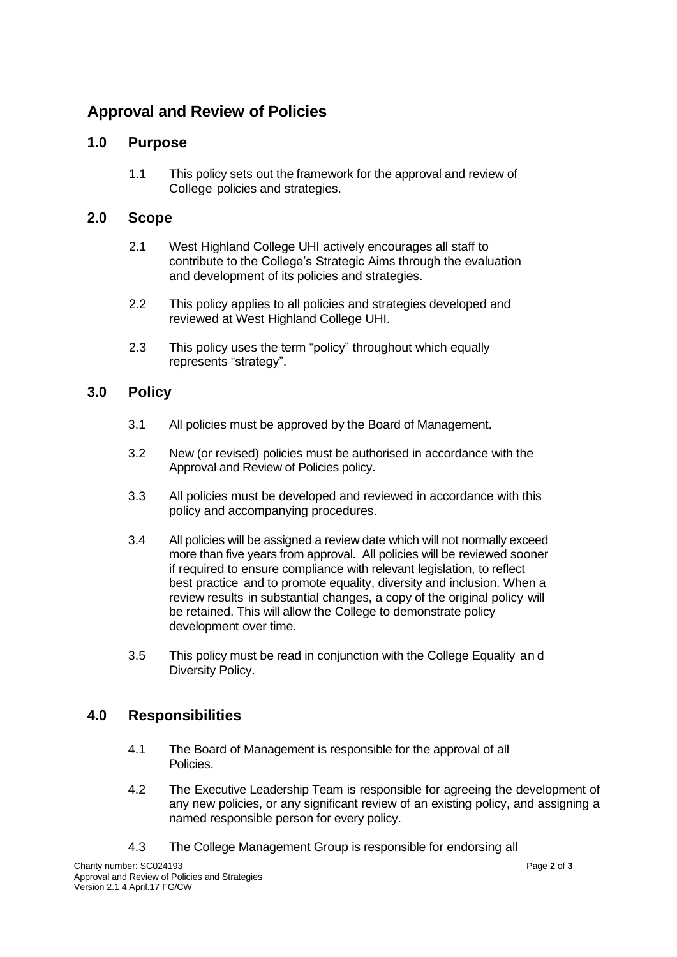### **Approval and Review of Policies**

#### **1.0 Purpose**

1.1 This policy sets out the framework for the approval and review of College policies and strategies.

#### **2.0 Scope**

- 2.1 West Highland College UHI actively encourages all staff to contribute to the College's Strategic Aims through the evaluation and development of its policies and strategies.
- 2.2 This policy applies to all policies and strategies developed and reviewed at West Highland College UHI.
- 2.3 This policy uses the term "policy" throughout which equally represents "strategy".

#### **3.0 Policy**

- 3.1 All policies must be approved by the Board of Management.
- 3.2 New (or revised) policies must be authorised in accordance with the Approval and Review of Policies policy.
- 3.3 All policies must be developed and reviewed in accordance with this policy and accompanying procedures.
- 3.4 All policies will be assigned a review date which will not normally exceed more than five years from approval. All policies will be reviewed sooner if required to ensure compliance with relevant legislation, to reflect best practice and to promote equality, diversity and inclusion. When a review results in substantial changes, a copy of the original policy will be retained. This will allow the College to demonstrate policy development over time.
- 3.5 This policy must be read in conjunction with the College Equality an d Diversity Policy.

#### **4.0 Responsibilities**

- 4.1 The Board of Management is responsible for the approval of all Policies.
- 4.2 The Executive Leadership Team is responsible for agreeing the development of any new policies, or any significant review of an existing policy, and assigning a named responsible person for every policy.
- 4.3 The College Management Group is responsible for endorsing all